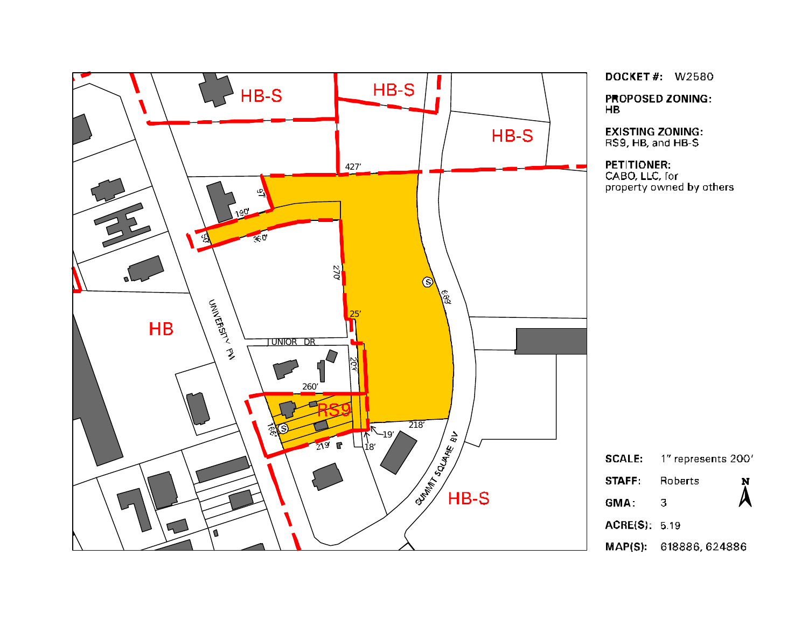

**DOCKET#: W2580** 

**PROPOSED ZONING:** 

RS9, HB, and HB-S

property owned by others

 $\sum_{i=1}^{N}$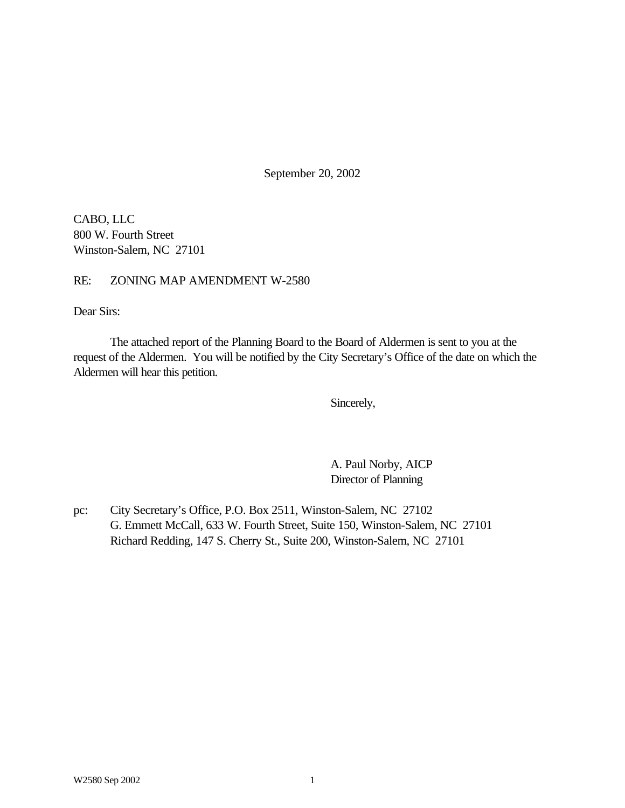September 20, 2002

CABO, LLC 800 W. Fourth Street Winston-Salem, NC 27101

RE: ZONING MAP AMENDMENT W-2580

Dear Sirs:

The attached report of the Planning Board to the Board of Aldermen is sent to you at the request of the Aldermen. You will be notified by the City Secretary's Office of the date on which the Aldermen will hear this petition.

Sincerely,

A. Paul Norby, AICP Director of Planning

pc: City Secretary's Office, P.O. Box 2511, Winston-Salem, NC 27102 G. Emmett McCall, 633 W. Fourth Street, Suite 150, Winston-Salem, NC 27101 Richard Redding, 147 S. Cherry St., Suite 200, Winston-Salem, NC 27101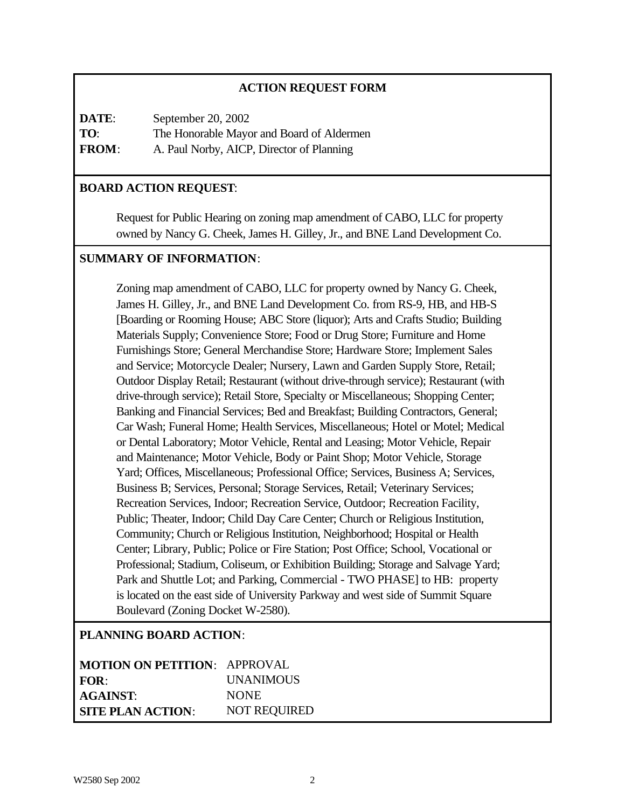## **ACTION REQUEST FORM**

**DATE**: September 20, 2002 **TO**: The Honorable Mayor and Board of Aldermen **FROM**: A. Paul Norby, AICP, Director of Planning

## **BOARD ACTION REQUEST**:

Request for Public Hearing on zoning map amendment of CABO, LLC for property owned by Nancy G. Cheek, James H. Gilley, Jr., and BNE Land Development Co.

#### **SUMMARY OF INFORMATION**:

Zoning map amendment of CABO, LLC for property owned by Nancy G. Cheek, James H. Gilley, Jr., and BNE Land Development Co. from RS-9, HB, and HB-S [Boarding or Rooming House; ABC Store (liquor); Arts and Crafts Studio; Building Materials Supply; Convenience Store; Food or Drug Store; Furniture and Home Furnishings Store; General Merchandise Store; Hardware Store; Implement Sales and Service; Motorcycle Dealer; Nursery, Lawn and Garden Supply Store, Retail; Outdoor Display Retail; Restaurant (without drive-through service); Restaurant (with drive-through service); Retail Store, Specialty or Miscellaneous; Shopping Center; Banking and Financial Services; Bed and Breakfast; Building Contractors, General; Car Wash; Funeral Home; Health Services, Miscellaneous; Hotel or Motel; Medical or Dental Laboratory; Motor Vehicle, Rental and Leasing; Motor Vehicle, Repair and Maintenance; Motor Vehicle, Body or Paint Shop; Motor Vehicle, Storage Yard; Offices, Miscellaneous; Professional Office; Services, Business A; Services, Business B; Services, Personal; Storage Services, Retail; Veterinary Services; Recreation Services, Indoor; Recreation Service, Outdoor; Recreation Facility, Public; Theater, Indoor; Child Day Care Center; Church or Religious Institution, Community; Church or Religious Institution, Neighborhood; Hospital or Health Center; Library, Public; Police or Fire Station; Post Office; School, Vocational or Professional; Stadium, Coliseum, or Exhibition Building; Storage and Salvage Yard; Park and Shuttle Lot; and Parking, Commercial - TWO PHASE] to HB: property is located on the east side of University Parkway and west side of Summit Square Boulevard (Zoning Docket W-2580).

### **PLANNING BOARD ACTION**:

| <b>MOTION ON PETITION: APPROVAL</b> |                     |
|-------------------------------------|---------------------|
| FOR:                                | <b>UNANIMOUS</b>    |
| <b>AGAINST:</b>                     | <b>NONE</b>         |
| <b>SITE PLAN ACTION:</b>            | <b>NOT REQUIRED</b> |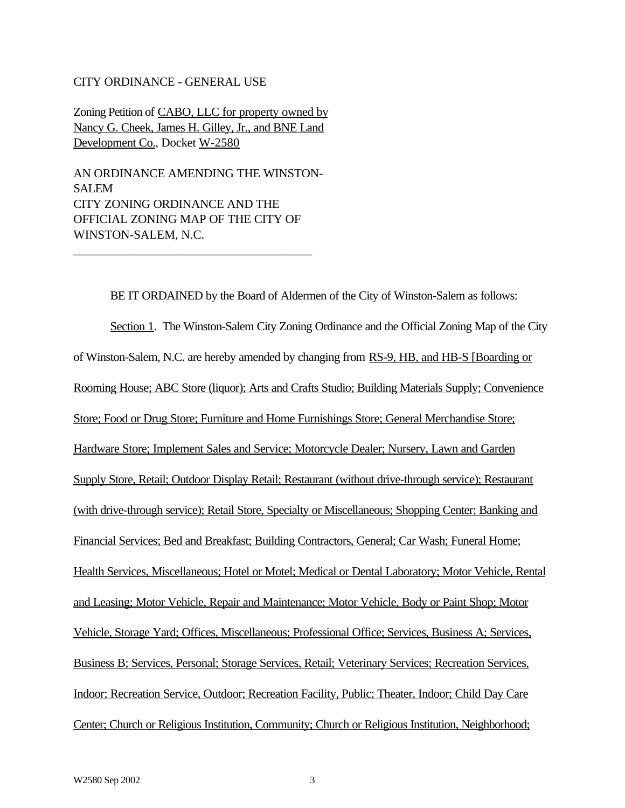#### CITY ORDINANCE - GENERAL USE

Zoning Petition of CABO, LLC for property owned by Nancy G. Cheek, James H. Gilley, Jr., and BNE Land Development Co., Docket W-2580

AN ORDINANCE AMENDING THE WINSTON-SALEM CITY ZONING ORDINANCE AND THE OFFICIAL ZONING MAP OF THE CITY OF WINSTON-SALEM, N.C.

\_\_\_\_\_\_\_\_\_\_\_\_\_\_\_\_\_\_\_\_\_\_\_\_\_\_\_\_\_\_\_\_\_\_\_\_\_\_\_

BE IT ORDAINED by the Board of Aldermen of the City of Winston-Salem as follows: Section 1. The Winston-Salem City Zoning Ordinance and the Official Zoning Map of the City of Winston-Salem, N.C. are hereby amended by changing from RS-9, HB, and HB-S [Boarding or Rooming House; ABC Store (liquor); Arts and Crafts Studio; Building Materials Supply; Convenience Store; Food or Drug Store; Furniture and Home Furnishings Store; General Merchandise Store; Hardware Store; Implement Sales and Service; Motorcycle Dealer; Nursery, Lawn and Garden Supply Store, Retail; Outdoor Display Retail; Restaurant (without drive-through service); Restaurant (with drive-through service); Retail Store, Specialty or Miscellaneous; Shopping Center; Banking and Financial Services; Bed and Breakfast; Building Contractors, General; Car Wash; Funeral Home; Health Services, Miscellaneous; Hotel or Motel; Medical or Dental Laboratory; Motor Vehicle, Rental and Leasing; Motor Vehicle, Repair and Maintenance; Motor Vehicle, Body or Paint Shop; Motor Vehicle, Storage Yard; Offices, Miscellaneous; Professional Office; Services, Business A; Services, Business B; Services, Personal; Storage Services, Retail; Veterinary Services; Recreation Services, Indoor; Recreation Service, Outdoor; Recreation Facility, Public; Theater, Indoor; Child Day Care Center; Church or Religious Institution, Community; Church or Religious Institution, Neighborhood;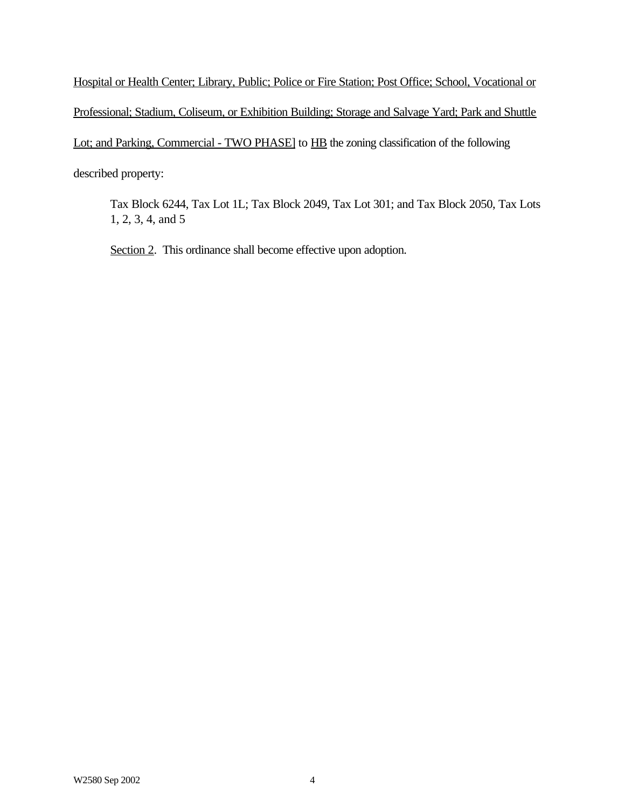Hospital or Health Center; Library, Public; Police or Fire Station; Post Office; School, Vocational or Professional; Stadium, Coliseum, or Exhibition Building; Storage and Salvage Yard; Park and Shuttle Lot; and Parking, Commercial - TWO PHASE] to HB the zoning classification of the following

described property:

Tax Block 6244, Tax Lot 1L; Tax Block 2049, Tax Lot 301; and Tax Block 2050, Tax Lots 1, 2, 3, 4, and 5

Section 2. This ordinance shall become effective upon adoption.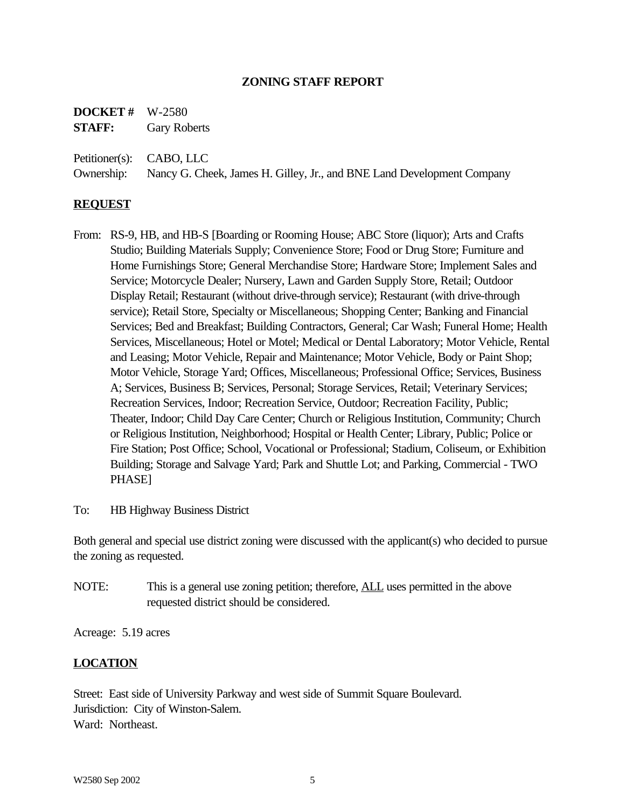### **ZONING STAFF REPORT**

**DOCKET #** W-2580 **STAFF:** Gary Roberts

Petitioner(s): CABO, LLC

Ownership: Nancy G. Cheek, James H. Gilley, Jr., and BNE Land Development Company

#### **REQUEST**

- From: RS-9, HB, and HB-S [Boarding or Rooming House; ABC Store (liquor); Arts and Crafts Studio; Building Materials Supply; Convenience Store; Food or Drug Store; Furniture and Home Furnishings Store; General Merchandise Store; Hardware Store; Implement Sales and Service; Motorcycle Dealer; Nursery, Lawn and Garden Supply Store, Retail; Outdoor Display Retail; Restaurant (without drive-through service); Restaurant (with drive-through service); Retail Store, Specialty or Miscellaneous; Shopping Center; Banking and Financial Services; Bed and Breakfast; Building Contractors, General; Car Wash; Funeral Home; Health Services, Miscellaneous; Hotel or Motel; Medical or Dental Laboratory; Motor Vehicle, Rental and Leasing; Motor Vehicle, Repair and Maintenance; Motor Vehicle, Body or Paint Shop; Motor Vehicle, Storage Yard; Offices, Miscellaneous; Professional Office; Services, Business A; Services, Business B; Services, Personal; Storage Services, Retail; Veterinary Services; Recreation Services, Indoor; Recreation Service, Outdoor; Recreation Facility, Public; Theater, Indoor; Child Day Care Center; Church or Religious Institution, Community; Church or Religious Institution, Neighborhood; Hospital or Health Center; Library, Public; Police or Fire Station; Post Office; School, Vocational or Professional; Stadium, Coliseum, or Exhibition Building; Storage and Salvage Yard; Park and Shuttle Lot; and Parking, Commercial - TWO PHASE]
- To: HB Highway Business District

Both general and special use district zoning were discussed with the applicant(s) who decided to pursue the zoning as requested.

NOTE: This is a general use zoning petition; therefore, **ALL** uses permitted in the above requested district should be considered.

Acreage: 5.19 acres

### **LOCATION**

Street: East side of University Parkway and west side of Summit Square Boulevard. Jurisdiction: City of Winston-Salem. Ward: Northeast.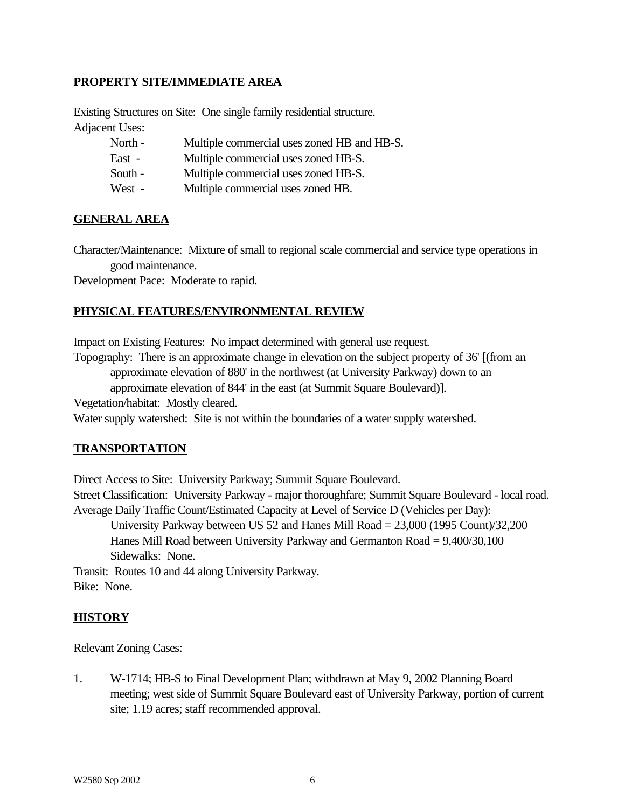## **PROPERTY SITE/IMMEDIATE AREA**

Existing Structures on Site: One single family residential structure. Adjacent Uses:

| North - | Multiple commercial uses zoned HB and HB-S. |
|---------|---------------------------------------------|
| East -  | Multiple commercial uses zoned HB-S.        |
| South - | Multiple commercial uses zoned HB-S.        |
| West -  | Multiple commercial uses zoned HB.          |

### **GENERAL AREA**

Character/Maintenance: Mixture of small to regional scale commercial and service type operations in good maintenance.

Development Pace: Moderate to rapid.

### **PHYSICAL FEATURES/ENVIRONMENTAL REVIEW**

Impact on Existing Features: No impact determined with general use request.

Topography: There is an approximate change in elevation on the subject property of 36' [(from an approximate elevation of 880' in the northwest (at University Parkway) down to an

approximate elevation of 844' in the east (at Summit Square Boulevard)].

Vegetation/habitat: Mostly cleared.

Water supply watershed: Site is not within the boundaries of a water supply watershed.

### **TRANSPORTATION**

Direct Access to Site: University Parkway; Summit Square Boulevard.

Street Classification: University Parkway - major thoroughfare; Summit Square Boulevard - local road. Average Daily Traffic Count/Estimated Capacity at Level of Service D (Vehicles per Day):

University Parkway between US 52 and Hanes Mill Road = 23,000 (1995 Count)/32,200 Hanes Mill Road between University Parkway and Germanton Road = 9,400/30,100 Sidewalks: None.

Transit: Routes 10 and 44 along University Parkway. Bike: None.

### **HISTORY**

Relevant Zoning Cases:

1. W-1714; HB-S to Final Development Plan; withdrawn at May 9, 2002 Planning Board meeting; west side of Summit Square Boulevard east of University Parkway, portion of current site; 1.19 acres; staff recommended approval.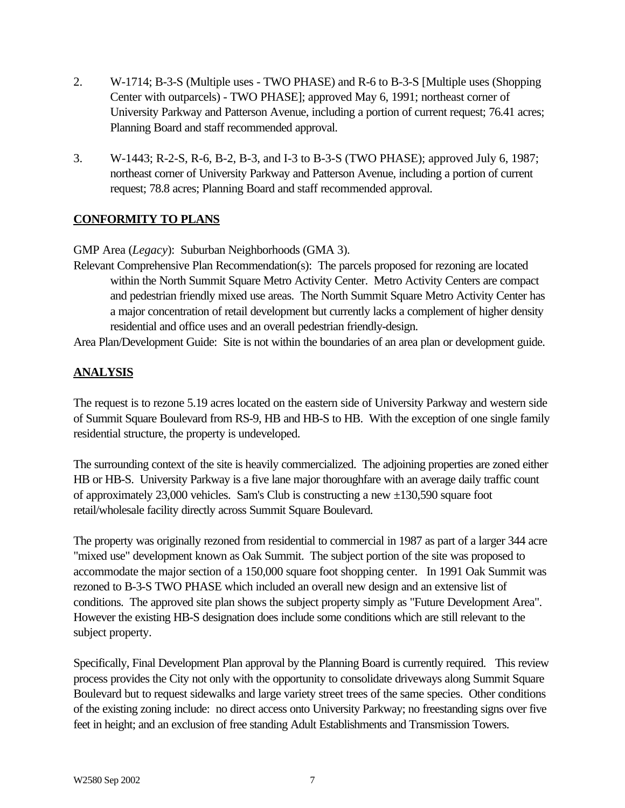- 2. W-1714; B-3-S (Multiple uses TWO PHASE) and R-6 to B-3-S [Multiple uses (Shopping Center with outparcels) - TWO PHASE]; approved May 6, 1991; northeast corner of University Parkway and Patterson Avenue, including a portion of current request; 76.41 acres; Planning Board and staff recommended approval.
- 3. W-1443; R-2-S, R-6, B-2, B-3, and I-3 to B-3-S (TWO PHASE); approved July 6, 1987; northeast corner of University Parkway and Patterson Avenue, including a portion of current request; 78.8 acres; Planning Board and staff recommended approval.

## **CONFORMITY TO PLANS**

GMP Area (*Legacy*): Suburban Neighborhoods (GMA 3).

Relevant Comprehensive Plan Recommendation(s): The parcels proposed for rezoning are located within the North Summit Square Metro Activity Center. Metro Activity Centers are compact and pedestrian friendly mixed use areas. The North Summit Square Metro Activity Center has a major concentration of retail development but currently lacks a complement of higher density residential and office uses and an overall pedestrian friendly-design.

Area Plan/Development Guide: Site is not within the boundaries of an area plan or development guide.

# **ANALYSIS**

The request is to rezone 5.19 acres located on the eastern side of University Parkway and western side of Summit Square Boulevard from RS-9, HB and HB-S to HB. With the exception of one single family residential structure, the property is undeveloped.

The surrounding context of the site is heavily commercialized. The adjoining properties are zoned either HB or HB-S. University Parkway is a five lane major thoroughfare with an average daily traffic count of approximately 23,000 vehicles. Sam's Club is constructing a new  $\pm 130,590$  square foot retail/wholesale facility directly across Summit Square Boulevard.

The property was originally rezoned from residential to commercial in 1987 as part of a larger 344 acre "mixed use" development known as Oak Summit. The subject portion of the site was proposed to accommodate the major section of a 150,000 square foot shopping center. In 1991 Oak Summit was rezoned to B-3-S TWO PHASE which included an overall new design and an extensive list of conditions. The approved site plan shows the subject property simply as "Future Development Area". However the existing HB-S designation does include some conditions which are still relevant to the subject property.

Specifically, Final Development Plan approval by the Planning Board is currently required. This review process provides the City not only with the opportunity to consolidate driveways along Summit Square Boulevard but to request sidewalks and large variety street trees of the same species. Other conditions of the existing zoning include: no direct access onto University Parkway; no freestanding signs over five feet in height; and an exclusion of free standing Adult Establishments and Transmission Towers.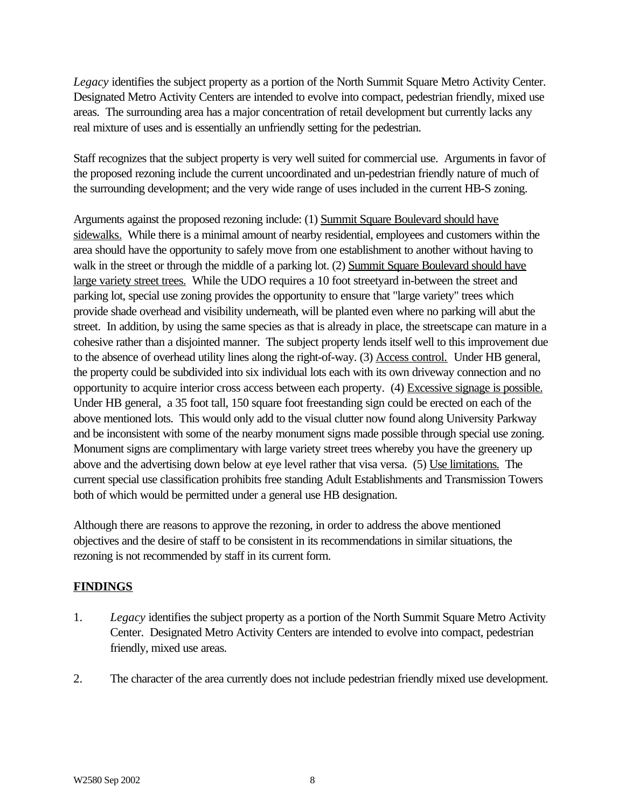*Legacy* identifies the subject property as a portion of the North Summit Square Metro Activity Center. Designated Metro Activity Centers are intended to evolve into compact, pedestrian friendly, mixed use areas. The surrounding area has a major concentration of retail development but currently lacks any real mixture of uses and is essentially an unfriendly setting for the pedestrian.

Staff recognizes that the subject property is very well suited for commercial use. Arguments in favor of the proposed rezoning include the current uncoordinated and un-pedestrian friendly nature of much of the surrounding development; and the very wide range of uses included in the current HB-S zoning.

Arguments against the proposed rezoning include: (1) Summit Square Boulevard should have sidewalks. While there is a minimal amount of nearby residential, employees and customers within the area should have the opportunity to safely move from one establishment to another without having to walk in the street or through the middle of a parking lot. (2) Summit Square Boulevard should have large variety street trees. While the UDO requires a 10 foot streetyard in-between the street and parking lot, special use zoning provides the opportunity to ensure that "large variety" trees which provide shade overhead and visibility underneath, will be planted even where no parking will abut the street. In addition, by using the same species as that is already in place, the streetscape can mature in a cohesive rather than a disjointed manner. The subject property lends itself well to this improvement due to the absence of overhead utility lines along the right-of-way. (3) Access control. Under HB general, the property could be subdivided into six individual lots each with its own driveway connection and no opportunity to acquire interior cross access between each property. (4) Excessive signage is possible. Under HB general, a 35 foot tall, 150 square foot freestanding sign could be erected on each of the above mentioned lots. This would only add to the visual clutter now found along University Parkway and be inconsistent with some of the nearby monument signs made possible through special use zoning. Monument signs are complimentary with large variety street trees whereby you have the greenery up above and the advertising down below at eye level rather that visa versa. (5) Use limitations. The current special use classification prohibits free standing Adult Establishments and Transmission Towers both of which would be permitted under a general use HB designation.

Although there are reasons to approve the rezoning, in order to address the above mentioned objectives and the desire of staff to be consistent in its recommendations in similar situations, the rezoning is not recommended by staff in its current form.

### **FINDINGS**

- 1. *Legacy* identifies the subject property as a portion of the North Summit Square Metro Activity Center. Designated Metro Activity Centers are intended to evolve into compact, pedestrian friendly, mixed use areas.
- 2. The character of the area currently does not include pedestrian friendly mixed use development.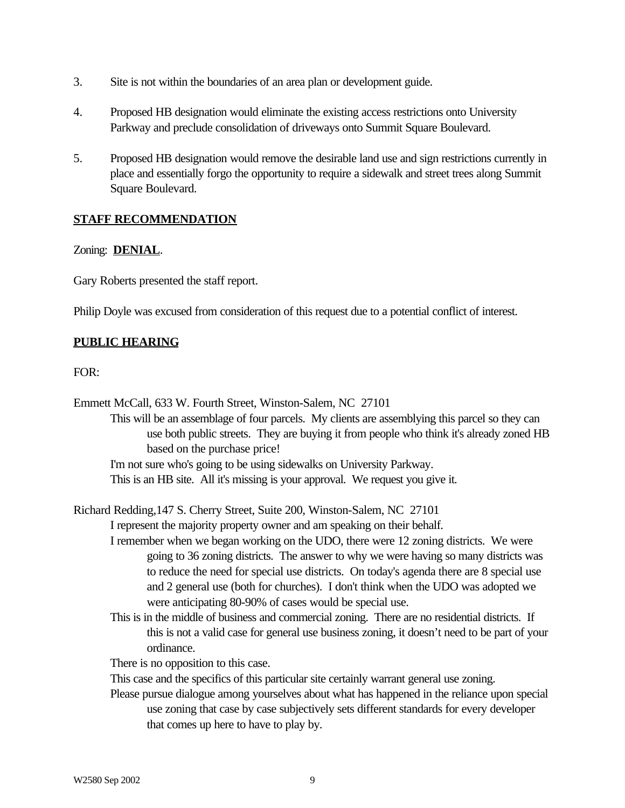- 3. Site is not within the boundaries of an area plan or development guide.
- 4. Proposed HB designation would eliminate the existing access restrictions onto University Parkway and preclude consolidation of driveways onto Summit Square Boulevard.
- 5. Proposed HB designation would remove the desirable land use and sign restrictions currently in place and essentially forgo the opportunity to require a sidewalk and street trees along Summit Square Boulevard.

## **STAFF RECOMMENDATION**

### Zoning: **DENIAL**.

Gary Roberts presented the staff report.

Philip Doyle was excused from consideration of this request due to a potential conflict of interest.

## **PUBLIC HEARING**

### FOR:

Emmett McCall, 633 W. Fourth Street, Winston-Salem, NC 27101

This will be an assemblage of four parcels. My clients are assemblying this parcel so they can use both public streets. They are buying it from people who think it's already zoned HB based on the purchase price!

I'm not sure who's going to be using sidewalks on University Parkway.

This is an HB site. All it's missing is your approval. We request you give it.

Richard Redding,147 S. Cherry Street, Suite 200, Winston-Salem, NC 27101

I represent the majority property owner and am speaking on their behalf.

- I remember when we began working on the UDO, there were 12 zoning districts. We were going to 36 zoning districts. The answer to why we were having so many districts was to reduce the need for special use districts. On today's agenda there are 8 special use and 2 general use (both for churches). I don't think when the UDO was adopted we were anticipating 80-90% of cases would be special use.
- This is in the middle of business and commercial zoning. There are no residential districts. If this is not a valid case for general use business zoning, it doesn't need to be part of your ordinance.

There is no opposition to this case.

This case and the specifics of this particular site certainly warrant general use zoning.

Please pursue dialogue among yourselves about what has happened in the reliance upon special use zoning that case by case subjectively sets different standards for every developer that comes up here to have to play by.